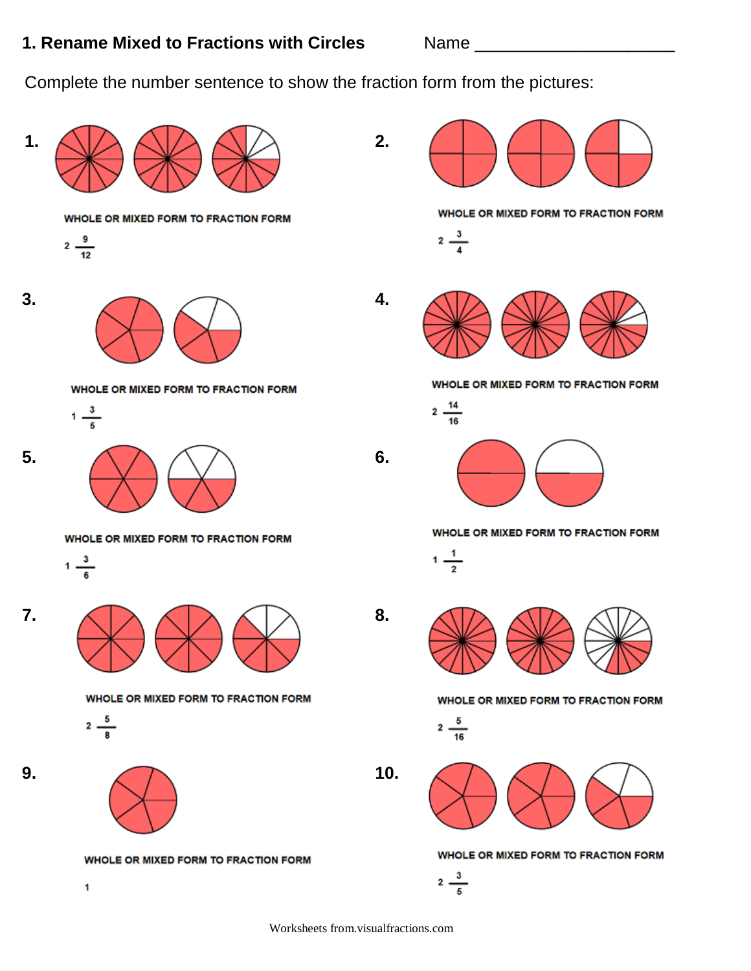## **1. Rename Mixed to Fractions with Circles** Name 1. Name 2008 2009

Complete the number sentence to show the fraction form from the pictures:



Worksheets from.visualfractions.com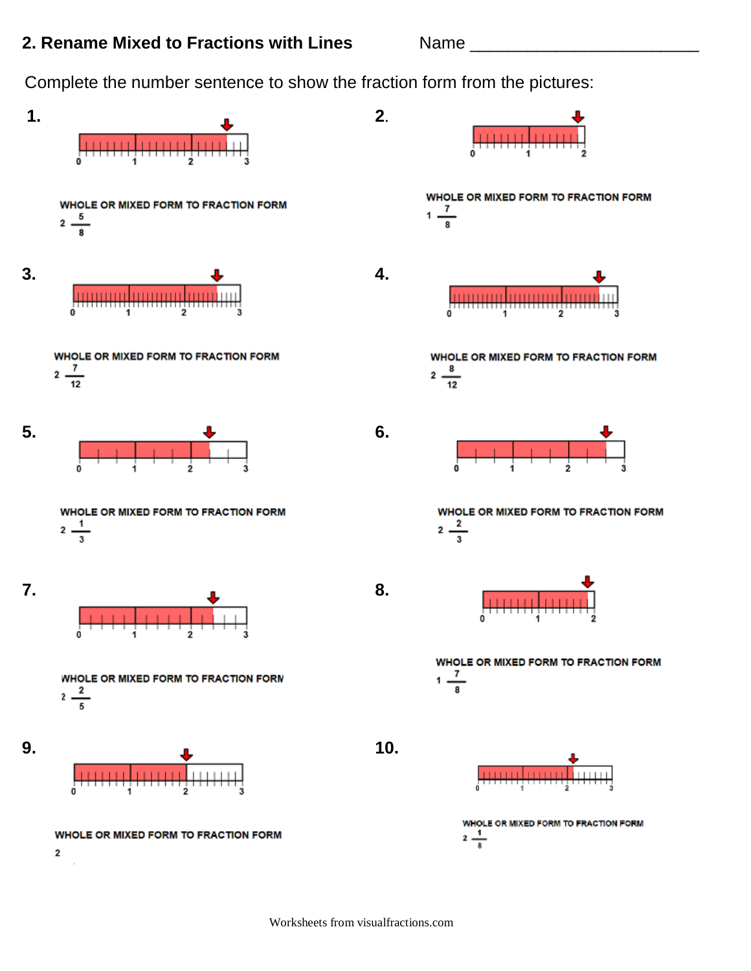## **2. Rename Mixed to Fractions with Lines** Name \_\_\_\_\_\_\_\_

Complete the number sentence to show the fraction form from the pictures:

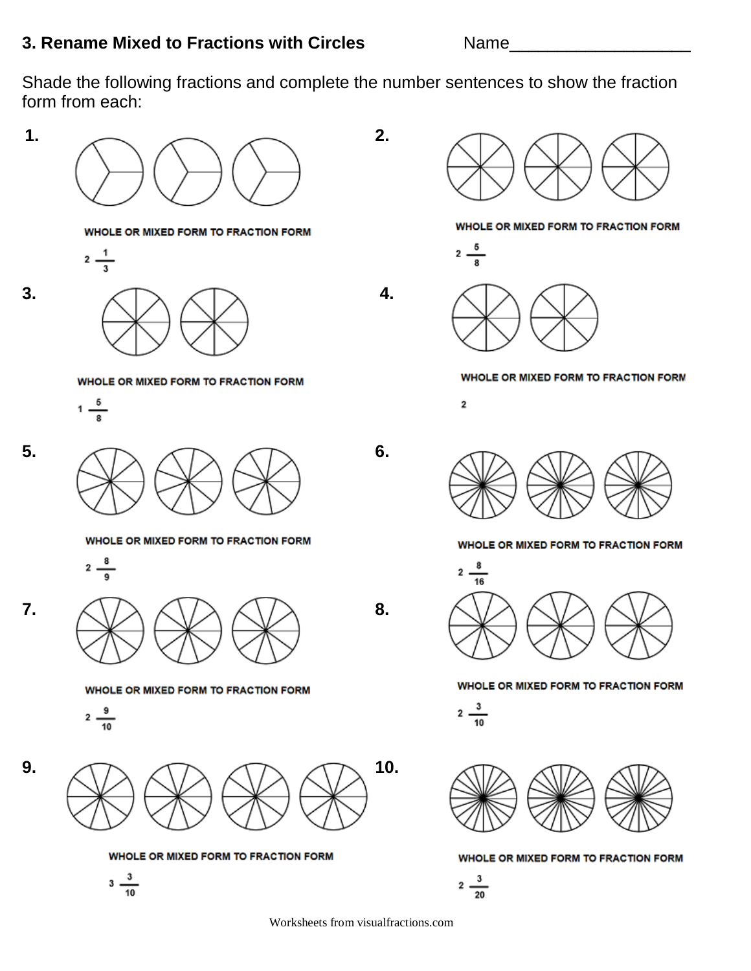Shade the following fractions and complete the number sentences to show the fraction form from each:



Worksheets from visualfractions.com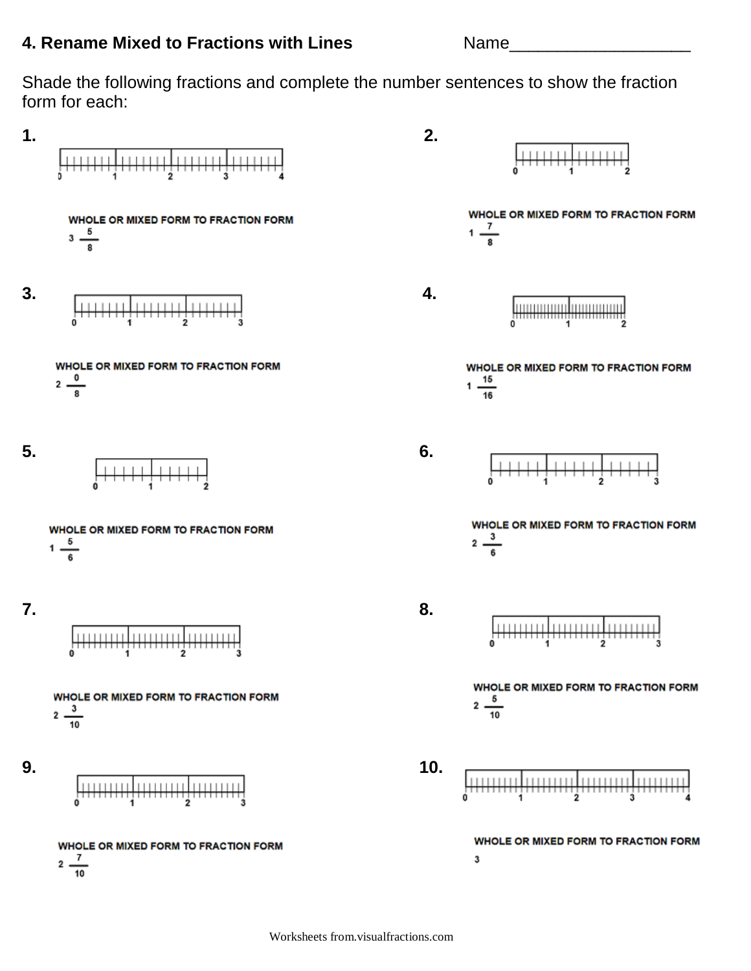## **4. Rename Mixed to Fractions with Lines** Name

Shade the following fractions and complete the number sentences to show the fraction form for each:

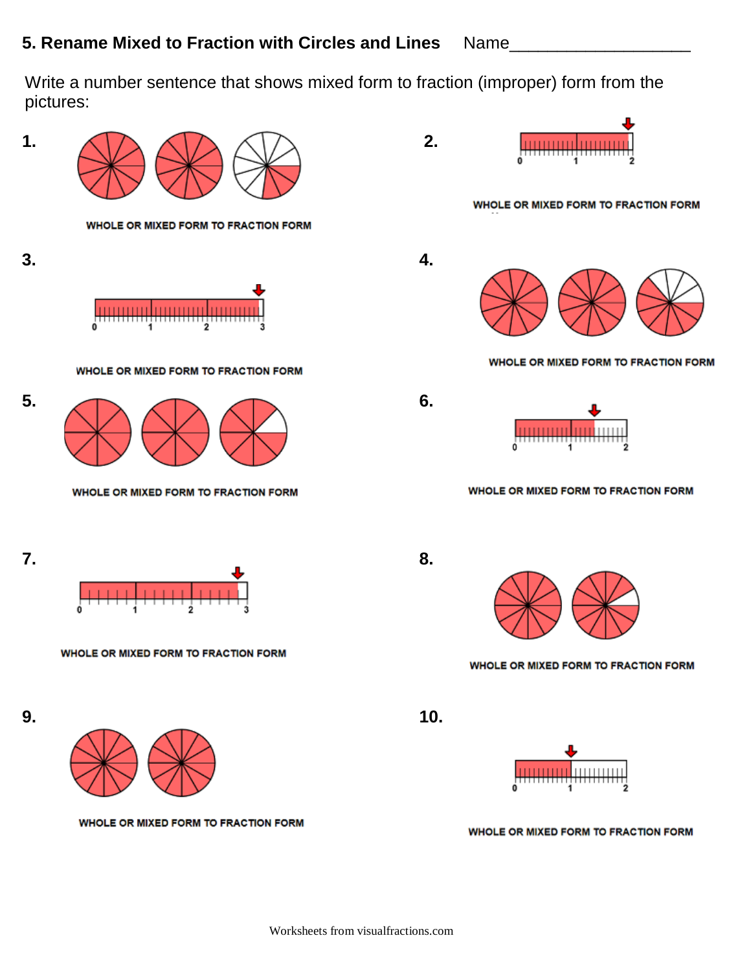Write a number sentence that shows mixed form to fraction (improper) form from the pictures:

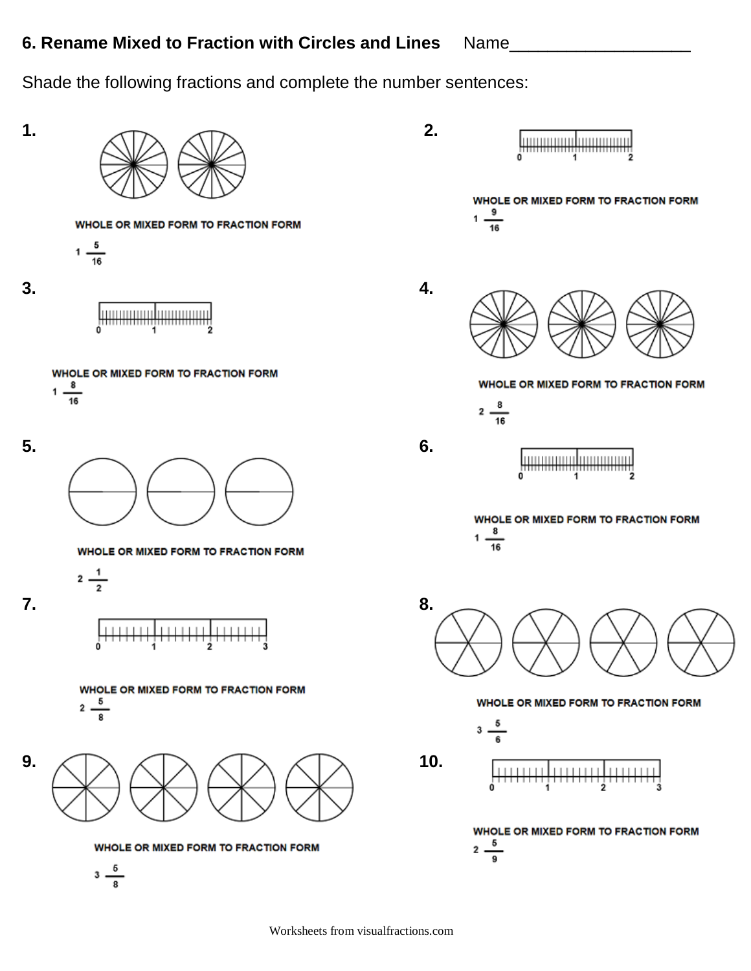Shade the following fractions and complete the number sentences: